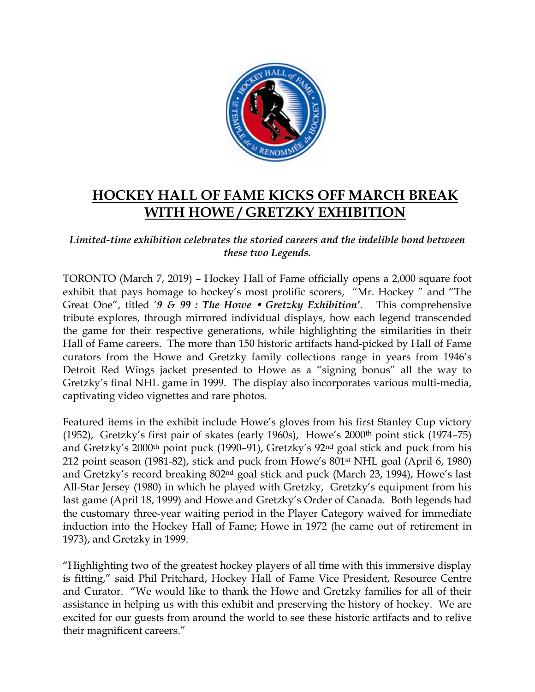

## **HOCKEY HALL OF FAME KICKS OFF MARCH BREAK WITH HOWE / GRETZKY EXHIBITION**

## *Limited-time exhibition celebrates the storied careers and the indelible bond between these two Legends.*

TORONTO (March 7, 2019) – Hockey Hall of Fame officially opens a 2,000 square foot exhibit that pays homage to hockey's most prolific scorers, "Mr. Hockey " and "The Great One", titled '*9 & 99 : The Howe Gretzky Exhibition'*. This comprehensive tribute explores, through mirrored individual displays, how each legend transcended the game for their respective generations, while highlighting the similarities in their Hall of Fame careers. The more than 150 historic artifacts hand-picked by Hall of Fame curators from the Howe and Gretzky family collections range in years from 1946's Detroit Red Wings jacket presented to Howe as a "signing bonus" all the way to Gretzky's final NHL game in 1999. The display also incorporates various multi-media, captivating video vignettes and rare photos.

Featured items in the exhibit include Howe's gloves from his first Stanley Cup victory (1952), Gretzky's first pair of skates (early 1960s), Howe's 2000th point stick (1974–75) and Gretzky's 2000<sup>th</sup> point puck (1990–91), Gretzky's 92<sup>nd</sup> goal stick and puck from his 212 point season (1981-82), stick and puck from Howe's 801st NHL goal (April 6, 1980) and Gretzky's record breaking 802nd goal stick and puck (March 23, 1994), Howe's last All-Star Jersey (1980) in which he played with Gretzky, Gretzky's equipment from his last game (April 18, 1999) and Howe and Gretzky's Order of Canada. Both legends had the customary three-year waiting period in the Player Category waived for immediate induction into the Hockey Hall of Fame; Howe in 1972 (he came out of retirement in 1973), and Gretzky in 1999.

"Highlighting two of the greatest hockey players of all time with this immersive display is fitting," said Phil Pritchard, Hockey Hall of Fame Vice President, Resource Centre and Curator. "We would like to thank the Howe and Gretzky families for all of their assistance in helping us with this exhibit and preserving the history of hockey. We are excited for our guests from around the world to see these historic artifacts and to relive their magnificent careers."